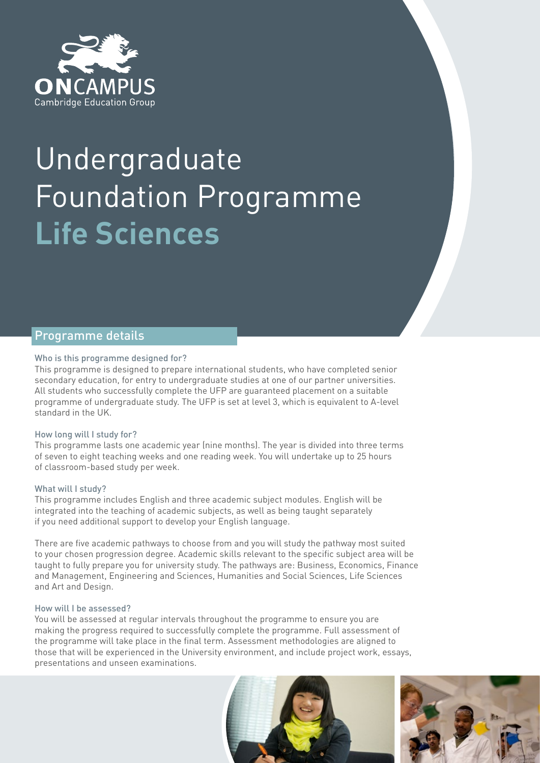

# Undergraduate Foundation Programme **Life Sciences**

# Programme details

# Who is this programme designed for?

This programme is designed to prepare international students, who have completed senior secondary education, for entry to undergraduate studies at one of our partner universities. All students who successfully complete the UFP are guaranteed placement on a suitable programme of undergraduate study. The UFP is set at level 3, which is equivalent to A-level standard in the UK.

# How long will I study for?

This programme lasts one academic year (nine months). The year is divided into three terms of seven to eight teaching weeks and one reading week. You will undertake up to 25 hours of classroom-based study per week.

# What will I study?

This programme includes English and three academic subject modules. English will be integrated into the teaching of academic subjects, as well as being taught separately if you need additional support to develop your English language.

There are five academic pathways to choose from and you will study the pathway most suited to your chosen progression degree. Academic skills relevant to the specific subject area will be taught to fully prepare you for university study. The pathways are: Business, Economics, Finance and Management, Engineering and Sciences, Humanities and Social Sciences, Life Sciences and Art and Design.

# How will I be assessed?

You will be assessed at regular intervals throughout the programme to ensure you are making the progress required to successfully complete the programme. Full assessment of the programme will take place in the final term. Assessment methodologies are aligned to those that will be experienced in the University environment, and include project work, essays, presentations and unseen examinations.



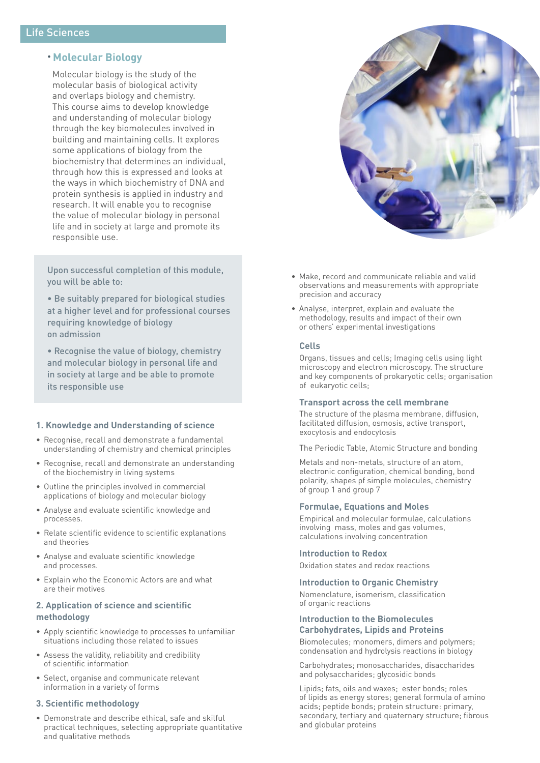# • **Molecular Biology**

Molecular biology is the study of the molecular basis of biological activity and overlaps biology and chemistry. This course aims to develop knowledge and understanding of molecular biology through the key biomolecules involved in building and maintaining cells. It explores some applications of biology from the biochemistry that determines an individual, through how this is expressed and looks at the ways in which biochemistry of DNA and protein synthesis is applied in industry and research. It will enable you to recognise the value of molecular biology in personal life and in society at large and promote its responsible use.

Upon successful completion of this module, you will be able to:

• Be suitably prepared for biological studies at a higher level and for professional courses requiring knowledge of biology on admission

• Recognise the value of biology, chemistry and molecular biology in personal life and in society at large and be able to promote its responsible use

# **1. Knowledge and Understanding of science**

- Recognise, recall and demonstrate a fundamental understanding of chemistry and chemical principles
- Recognise, recall and demonstrate an understanding of the biochemistry in living systems
- Outline the principles involved in commercial applications of biology and molecular biology
- Analyse and evaluate scientific knowledge and processes.
- Relate scientific evidence to scientific explanations and theories
- Analyse and evaluate scientific knowledge and processes.
- Explain who the Economic Actors are and what are their motives

# **2. Application of science and scientific methodology**

- Apply scientific knowledge to processes to unfamiliar situations including those related to issues
- Assess the validity, reliability and credibility of scientific information
- Select, organise and communicate relevant information in a variety of forms

# **3. Scientific methodology**

• Demonstrate and describe ethical, safe and skilful practical techniques, selecting appropriate quantitative and qualitative methods



- Make, record and communicate reliable and valid observations and measurements with appropriate precision and accuracy
- Analyse, interpret, explain and evaluate the methodology, results and impact of their own or others' experimental investigations

## **Cells**

Organs, tissues and cells; Imaging cells using light microscopy and electron microscopy. The structure and key components of prokaryotic cells; organisation of eukaryotic cells;

# **Transport across the cell membrane**

The structure of the plasma membrane, diffusion, facilitated diffusion, osmosis, active transport, exocytosis and endocytosis

The Periodic Table, Atomic Structure and bonding

Metals and non-metals, structure of an atom, electronic configuration, chemical bonding, bond polarity, shapes pf simple molecules, chemistry of group 1 and group 7

# **Formulae, Equations and Moles**

Empirical and molecular formulae, calculations involving mass, moles and gas volumes, calculations involving concentration

# **Introduction to Redox**

Oxidation states and redox reactions

# **Introduction to Organic Chemistry**

Nomenclature, isomerism, classification of organic reactions

# **Introduction to the Biomolecules Carbohydrates, Lipids and Proteins**

Biomolecules; monomers, dimers and polymers; condensation and hydrolysis reactions in biology

Carbohydrates; monosaccharides, disaccharides and polysaccharides; glycosidic bonds

Lipids; fats, oils and waxes; ester bonds; roles of lipids as energy stores; general formula of amino acids; peptide bonds; protein structure: primary, secondary, tertiary and quaternary structure; fibrous and globular proteins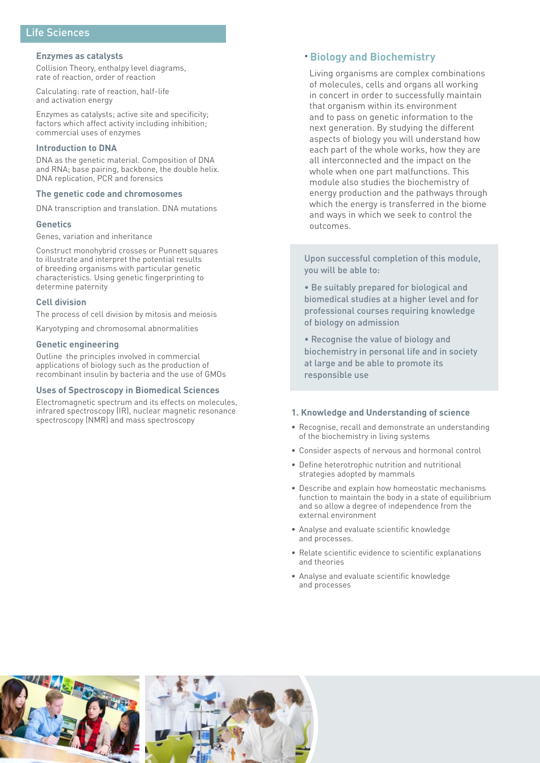# Life Sciences

#### **Enzymes as catalysts**

Collision Theory, enthalpy level diagrams, rate of reaction, order of reaction

Calculating: rate of reaction, half-life and activation energy

Enzymes as catalysts; active site and specificity; factors which affect activity including inhibition; commercial uses of enzymes

## **Introduction to DNA**

DNA as the genetic material. Composition of DNA and RNA; base pairing, backbone, the double helix. DNA replication, PCR and forensics

# **The genetic code and chromosomes**

DNA transcription and translation. DNA mutations

## **Genetics**

Genes, variation and inheritance

Construct monohybrid crosses or Punnett squares to illustrate and interpret the potential results of breeding organisms with particular genetic characteristics. Using genetic fingerprinting to determine paternity

# **Cell division**

The process of cell division by mitosis and meiosis

Karyotyping and chromosomal abnormalities

#### **Genetic engineering**

Outline the principles involved in commercial applications of biology such as the production of recombinant insulin by bacteria and the use of GMOs

#### **Uses of Spectroscopy in Biomedical Sciences**

Electromagnetic spectrum and its effects on molecules, infrared spectroscopy (IR), nuclear magnetic resonance spectroscopy (NMR) and mass spectroscopy

# • **Biology and Biochemistry**

Living organisms are complex combinations of molecules, cells and organs all working in concert in order to successfully maintain that organism within its environment and to pass on genetic information to the next generation. By studying the different aspects of biology you will understand how each part of the whole works, how they are all interconnected and the impact on the whole when one part malfunctions. This module also studies the biochemistry of energy production and the pathways through which the energy is transferred in the biome and ways in which we seek to control the outcomes.

Upon successful completion of this module, you will be able to:

• Be suitably prepared for biological and biomedical studies at a higher level and for professional courses requiring knowledge of biology on admission

• Recognise the value of biology and biochemistry in personal life and in society at large and be able to promote its responsible use

## **1. Knowledge and Understanding of science**

- Recognise, recall and demonstrate an understanding of the biochemistry in living systems
- Consider aspects of nervous and hormonal control
- Define heterotrophic nutrition and nutritional strategies adopted by mammals
- Describe and explain how homeostatic mechanisms function to maintain the body in a state of equilibrium and so allow a degree of independence from the external environment
- Analyse and evaluate scientific knowledge and processes.
- Relate scientific evidence to scientific explanations and theories
- Analyse and evaluate scientific knowledge and processes



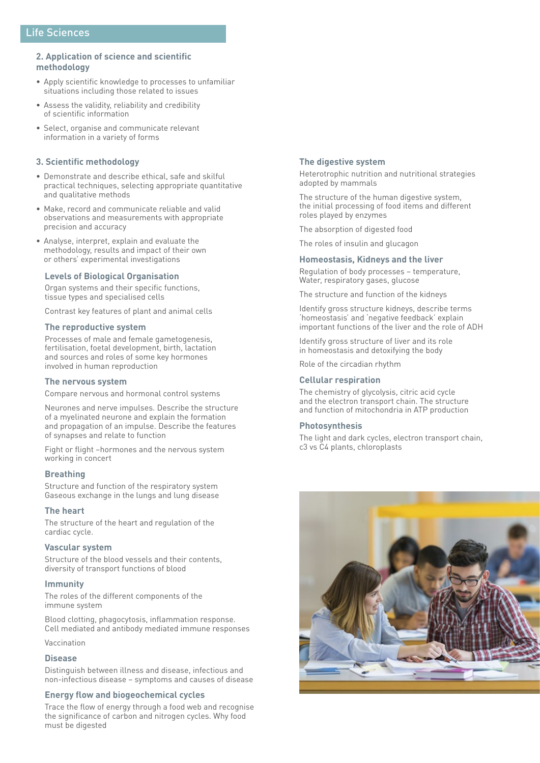# **2. Application of science and scientific methodology**

- Apply scientific knowledge to processes to unfamiliar situations including those related to issues
- Assess the validity, reliability and credibility of scientific information
- Select, organise and communicate relevant information in a variety of forms

# **3. Scientific methodology**

- Demonstrate and describe ethical, safe and skilful practical techniques, selecting appropriate quantitative and qualitative methods
- Make, record and communicate reliable and valid observations and measurements with appropriate precision and accuracy
- Analyse, interpret, explain and evaluate the methodology, results and impact of their own or others' experimental investigations

# **Levels of Biological Organisation**

Organ systems and their specific functions, tissue types and specialised cells

Contrast key features of plant and animal cells

## **The reproductive system**

Processes of male and female gametogenesis, fertilisation, foetal development, birth, lactation and sources and roles of some key hormones involved in human reproduction

# **The nervous system**

Compare nervous and hormonal control systems

Neurones and nerve impulses. Describe the structure of a myelinated neurone and explain the formation and propagation of an impulse. Describe the features of synapses and relate to function

Fight or flight –hormones and the nervous system working in concert

## **Breathing**

Structure and function of the respiratory system Gaseous exchange in the lungs and lung disease

## **The heart**

The structure of the heart and regulation of the cardiac cycle.

## **Vascular system**

Structure of the blood vessels and their contents, diversity of transport functions of blood

#### **Immunity**

The roles of the different components of the immune system

Blood clotting, phagocytosis, inflammation response. Cell mediated and antibody mediated immune responses

Vaccination

#### **Disease**

Distinguish between illness and disease, infectious and non-infectious disease – symptoms and causes of disease

# **Energy flow and biogeochemical cycles**

Trace the flow of energy through a food web and recognise the significance of carbon and nitrogen cycles. Why food must be digested

## **The digestive system**

Heterotrophic nutrition and nutritional strategies adopted by mammals

The structure of the human digestive system, the initial processing of food items and different roles played by enzymes

The absorption of digested food

The roles of insulin and glucagon

#### **Homeostasis, Kidneys and the liver**

Regulation of body processes – temperature, Water, respiratory gases, glucose

The structure and function of the kidneys

Identify gross structure kidneys, describe terms 'homeostasis' and 'negative feedback' explain important functions of the liver and the role of ADH

Identify gross structure of liver and its role in homeostasis and detoxifying the body

Role of the circadian rhythm

#### **Cellular respiration**

The chemistry of glycolysis, citric acid cycle and the electron transport chain. The structure and function of mitochondria in ATP production

## **Photosynthesis**

The light and dark cycles, electron transport chain, c3 vs C4 plants, chloroplasts

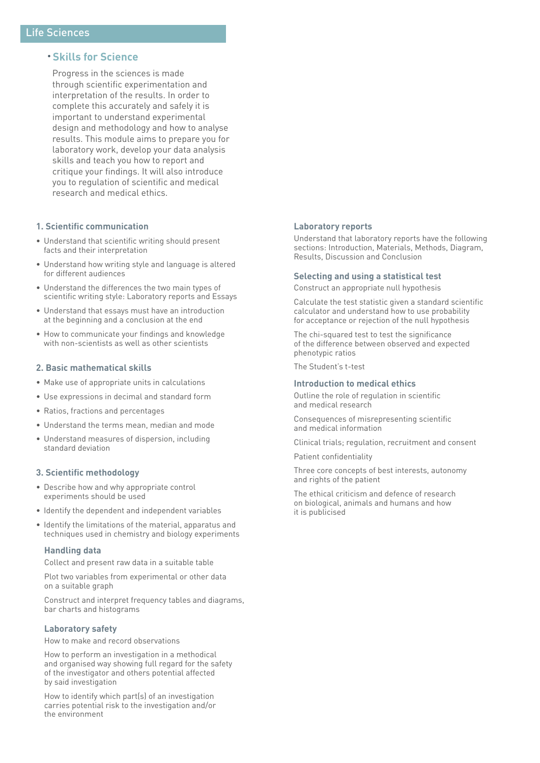# • **Skills for Science**

Progress in the sciences is made through scientific experimentation and interpretation of the results. In order to complete this accurately and safely it is important to understand experimental design and methodology and how to analyse results. This module aims to prepare you for laboratory work, develop your data analysis skills and teach you how to report and critique your findings. It will also introduce you to regulation of scientific and medical research and medical ethics.

## **1. Scientific communication**

- Understand that scientific writing should present facts and their interpretation
- Understand how writing style and language is altered for different audiences
- Understand the differences the two main types of scientific writing style: Laboratory reports and Essays
- Understand that essays must have an introduction at the beginning and a conclusion at the end
- How to communicate your findings and knowledge with non-scientists as well as other scientists

## **2. Basic mathematical skills**

- Make use of appropriate units in calculations
- Use expressions in decimal and standard form
- Ratios, fractions and percentages
- Understand the terms mean, median and mode
- Understand measures of dispersion, including standard deviation

## **3. Scientific methodology**

- Describe how and why appropriate control experiments should be used
- Identify the dependent and independent variables
- Identify the limitations of the material, apparatus and techniques used in chemistry and biology experiments

## **Handling data**

Collect and present raw data in a suitable table

Plot two variables from experimental or other data on a suitable graph

Construct and interpret frequency tables and diagrams, bar charts and histograms

# **Laboratory safety**

How to make and record observations

How to perform an investigation in a methodical and organised way showing full regard for the safety of the investigator and others potential affected by said investigation

How to identify which part(s) of an investigation carries potential risk to the investigation and/or the environment

#### **Laboratory reports**

Understand that laboratory reports have the following sections: Introduction, Materials, Methods, Diagram, Results, Discussion and Conclusion

#### **Selecting and using a statistical test**

Construct an appropriate null hypothesis

Calculate the test statistic given a standard scientific calculator and understand how to use probability for acceptance or rejection of the null hypothesis

The chi-squared test to test the significance of the difference between observed and expected phenotypic ratios

The Student's t-test

## **Introduction to medical ethics**

Outline the role of regulation in scientific and medical research

Consequences of misrepresenting scientific and medical information

Clinical trials; regulation, recruitment and consent

Patient confidentiality

Three core concepts of best interests, autonomy and rights of the patient

The ethical criticism and defence of research on biological, animals and humans and how it is publicised